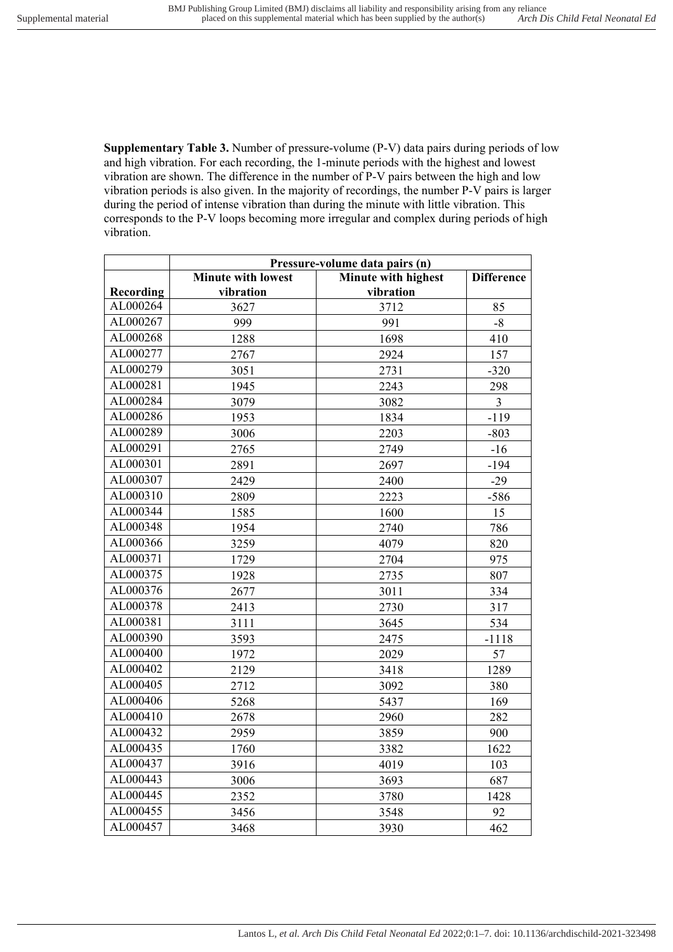**Supplementary Table 3.** Number of pressure-volume (P-V) data pairs during periods of low and high vibration. For each recording, the 1-minute periods with the highest and lowest vibration are shown. The difference in the number of P-V pairs between the high and low vibration periods is also given. In the majority of recordings, the number P-V pairs is larger during the period of intense vibration than during the minute with little vibration. This corresponds to the P-V loops becoming more irregular and complex during periods of high vibration.

|           | Pressure-volume data pairs (n) |                            |                   |  |
|-----------|--------------------------------|----------------------------|-------------------|--|
|           | <b>Minute with lowest</b>      | <b>Minute with highest</b> | <b>Difference</b> |  |
| Recording | vibration                      | vibration                  |                   |  |
| AL000264  | 3627                           | 3712                       | 85                |  |
| AL000267  | 999                            | 991                        | $-8$              |  |
| AL000268  | 1288                           | 1698                       | 410               |  |
| AL000277  | 2767                           | 2924                       | 157               |  |
| AL000279  | 3051                           | 2731                       | $-320$            |  |
| AL000281  | 1945                           | 2243                       | 298               |  |
| AL000284  | 3079                           | 3082                       | $\overline{3}$    |  |
| AL000286  | 1953                           | 1834                       | $-119$            |  |
| AL000289  | 3006                           | 2203                       | $-803$            |  |
| AL000291  | 2765                           | 2749                       | $-16$             |  |
| AL000301  | 2891                           | 2697                       | $-194$            |  |
| AL000307  | 2429                           | 2400                       | $-29$             |  |
| AL000310  | 2809                           | 2223                       | $-586$            |  |
| AL000344  | 1585                           | 1600                       | 15                |  |
| AL000348  | 1954                           | 2740                       | 786               |  |
| AL000366  | 3259                           | 4079                       | 820               |  |
| AL000371  | 1729                           | 2704                       | 975               |  |
| AL000375  | 1928                           | 2735                       | 807               |  |
| AL000376  | 2677                           | 3011                       | 334               |  |
| AL000378  | 2413                           | 2730                       | 317               |  |
| AL000381  | 3111                           | 3645                       | 534               |  |
| AL000390  | 3593                           | 2475                       | $-1118$           |  |
| AL000400  | 1972                           | 2029                       | 57                |  |
| AL000402  | 2129                           | 3418                       | 1289              |  |
| AL000405  | 2712                           | 3092                       | 380               |  |
| AL000406  | 5268                           | 5437                       | 169               |  |
| AL000410  | 2678                           | 2960                       | 282               |  |
| AL000432  | 2959                           | 3859                       | 900               |  |
| AL000435  | 1760                           | 3382                       | 1622              |  |
| AL000437  | 3916                           | 4019                       | 103               |  |
| AL000443  | 3006                           | 3693                       | 687               |  |
| AL000445  | 2352                           | 3780                       | 1428              |  |
| AL000455  | 3456                           | 3548                       | 92                |  |
| AL000457  | 3468                           | 3930                       | 462               |  |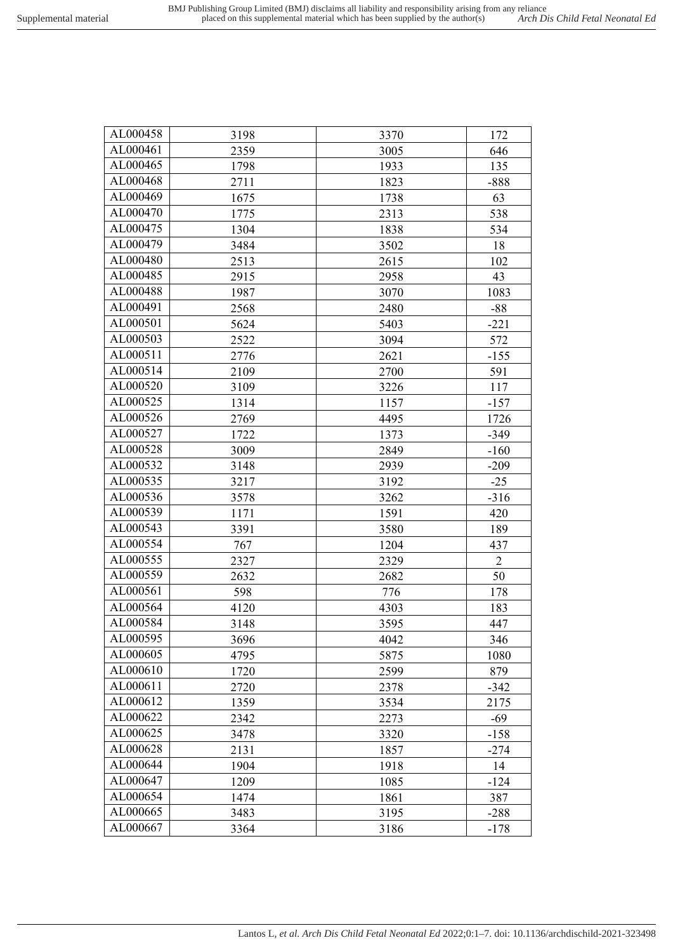| AL000458 | 3198 | 3370 | 172            |
|----------|------|------|----------------|
| AL000461 | 2359 | 3005 | 646            |
| AL000465 | 1798 | 1933 | 135            |
| AL000468 | 2711 | 1823 | $-888$         |
| AL000469 | 1675 | 1738 | 63             |
| AL000470 | 1775 | 2313 | 538            |
| AL000475 | 1304 | 1838 | 534            |
| AL000479 | 3484 | 3502 | 18             |
| AL000480 | 2513 | 2615 | 102            |
| AL000485 | 2915 | 2958 | 43             |
| AL000488 | 1987 | 3070 | 1083           |
| AL000491 | 2568 | 2480 | $-88$          |
| AL000501 | 5624 | 5403 | $-221$         |
| AL000503 | 2522 | 3094 | 572            |
| AL000511 | 2776 | 2621 | $-155$         |
| AL000514 | 2109 | 2700 | 591            |
| AL000520 | 3109 | 3226 | 117            |
| AL000525 | 1314 | 1157 | $-157$         |
| AL000526 | 2769 | 4495 | 1726           |
| AL000527 | 1722 | 1373 | $-349$         |
| AL000528 | 3009 | 2849 | $-160$         |
| AL000532 | 3148 | 2939 | $-209$         |
| AL000535 | 3217 | 3192 | $-25$          |
| AL000536 | 3578 | 3262 | $-316$         |
| AL000539 | 1171 | 1591 | 420            |
| AL000543 | 3391 | 3580 | 189            |
| AL000554 | 767  | 1204 | 437            |
| AL000555 | 2327 | 2329 | $\overline{2}$ |
| AL000559 | 2632 | 2682 | 50             |
| AL000561 | 598  | 776  | 178            |
| AL000564 | 4120 | 4303 | 183            |
| AL000584 | 3148 | 3595 | 447            |
| AL000595 | 3696 | 4042 | 346            |
| AL000605 | 4795 | 5875 | 1080           |
| AL000610 | 1720 | 2599 | 879            |
| AL000611 | 2720 | 2378 | $-342$         |
| AL000612 | 1359 | 3534 | 2175           |
| AL000622 | 2342 | 2273 | $-69$          |
| AL000625 | 3478 | 3320 | $-158$         |
| AL000628 | 2131 | 1857 | $-274$         |
| AL000644 | 1904 | 1918 | 14             |
| AL000647 | 1209 | 1085 | $-124$         |
| AL000654 | 1474 | 1861 | 387            |
| AL000665 | 3483 | 3195 | $-288$         |
| AL000667 | 3364 | 3186 | $-178$         |